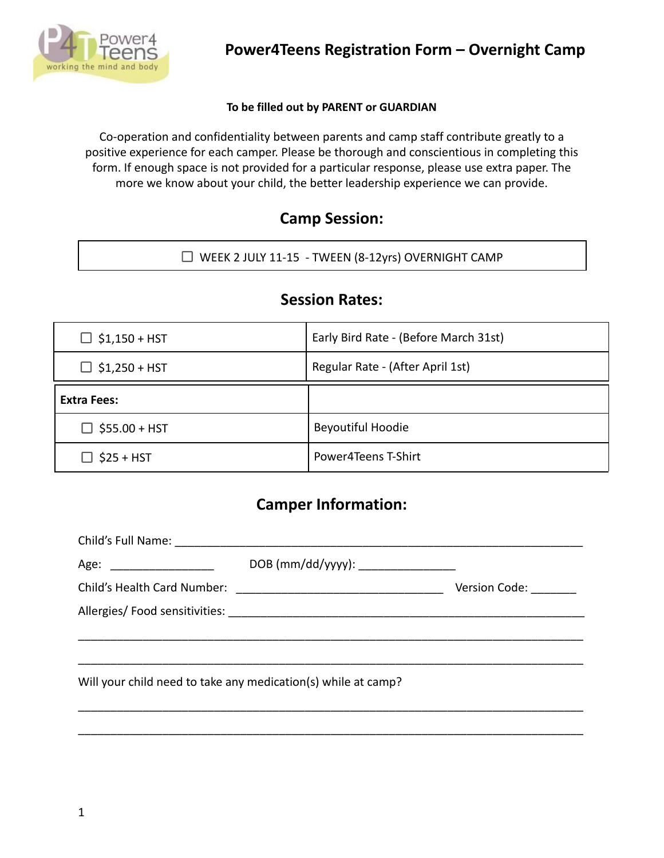

#### **To be filled out by PARENT or GUARDIAN**

Co-operation and confidentiality between parents and camp staff contribute greatly to a positive experience for each camper. Please be thorough and conscientious in completing this form. If enough space is not provided for a particular response, please use extra paper. The more we know about your child, the better leadership experience we can provide.

#### **Camp Session:**

WEEK 2 JULY 11-15 - TWEEN (8-12yrs) OVERNIGHT CAMP

#### **Session Rates:**

| $\Box$ \$1,150 + HST | Early Bird Rate - (Before March 31st) |
|----------------------|---------------------------------------|
| $\Box$ \$1,250 + HST | Regular Rate - (After April 1st)      |
| Extra Fees:          |                                       |
| $\Box$ \$55.00 + HST | <b>Beyoutiful Hoodie</b>              |
| $\Box$ \$25 + HST    | Power4Teens T-Shirt                   |

#### **Camper Information:**

| Age: ________________________ | DOB (mm/dd/yyyy): _________________                           |               |
|-------------------------------|---------------------------------------------------------------|---------------|
|                               |                                                               | Version Code: |
|                               |                                                               |               |
|                               |                                                               |               |
|                               |                                                               |               |
|                               | Will your child need to take any medication(s) while at camp? |               |
|                               |                                                               |               |

\_\_\_\_\_\_\_\_\_\_\_\_\_\_\_\_\_\_\_\_\_\_\_\_\_\_\_\_\_\_\_\_\_\_\_\_\_\_\_\_\_\_\_\_\_\_\_\_\_\_\_\_\_\_\_\_\_\_\_\_\_\_\_\_\_\_\_\_\_\_\_\_\_\_\_\_\_\_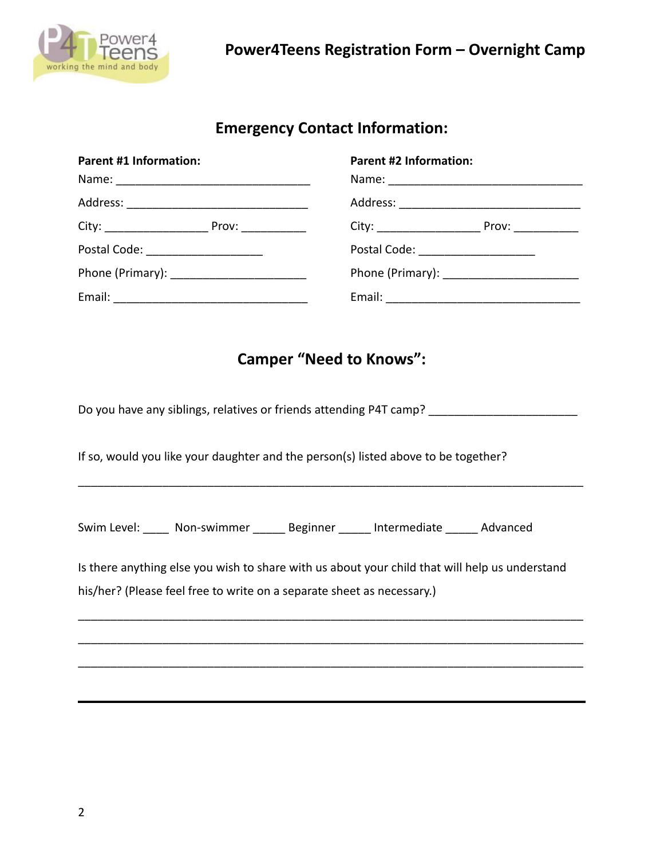

### **Emergency Contact Information:**

| <b>Parent #1 Information:</b>        | <b>Parent #2 Information:</b>     |  |
|--------------------------------------|-----------------------------------|--|
|                                      |                                   |  |
|                                      |                                   |  |
|                                      |                                   |  |
| Postal Code: _______________________ | Postal Code: ____________________ |  |
|                                      |                                   |  |
|                                      |                                   |  |

### **Camper "Need to Knows":**

Do you have any siblings, relatives or friends attending P4T camp? \_\_\_\_\_\_\_\_\_\_\_\_\_\_\_\_\_\_\_\_\_\_\_ If so, would you like your daughter and the person(s) listed above to be together? \_\_\_\_\_\_\_\_\_\_\_\_\_\_\_\_\_\_\_\_\_\_\_\_\_\_\_\_\_\_\_\_\_\_\_\_\_\_\_\_\_\_\_\_\_\_\_\_\_\_\_\_\_\_\_\_\_\_\_\_\_\_\_\_\_\_\_\_\_\_\_\_\_\_\_\_\_\_ Swim Level: \_\_\_\_\_ Non-swimmer \_\_\_\_\_\_ Beginner \_\_\_\_\_\_ Intermediate \_\_\_\_\_ Advanced Is there anything else you wish to share with us about your child that will help us understand his/her? (Please feel free to write on a separate sheet as necessary.) \_\_\_\_\_\_\_\_\_\_\_\_\_\_\_\_\_\_\_\_\_\_\_\_\_\_\_\_\_\_\_\_\_\_\_\_\_\_\_\_\_\_\_\_\_\_\_\_\_\_\_\_\_\_\_\_\_\_\_\_\_\_\_\_\_\_\_\_\_\_\_\_\_\_\_\_\_\_ \_\_\_\_\_\_\_\_\_\_\_\_\_\_\_\_\_\_\_\_\_\_\_\_\_\_\_\_\_\_\_\_\_\_\_\_\_\_\_\_\_\_\_\_\_\_\_\_\_\_\_\_\_\_\_\_\_\_\_\_\_\_\_\_\_\_\_\_\_\_\_\_\_\_\_\_\_\_ \_\_\_\_\_\_\_\_\_\_\_\_\_\_\_\_\_\_\_\_\_\_\_\_\_\_\_\_\_\_\_\_\_\_\_\_\_\_\_\_\_\_\_\_\_\_\_\_\_\_\_\_\_\_\_\_\_\_\_\_\_\_\_\_\_\_\_\_\_\_\_\_\_\_\_\_\_\_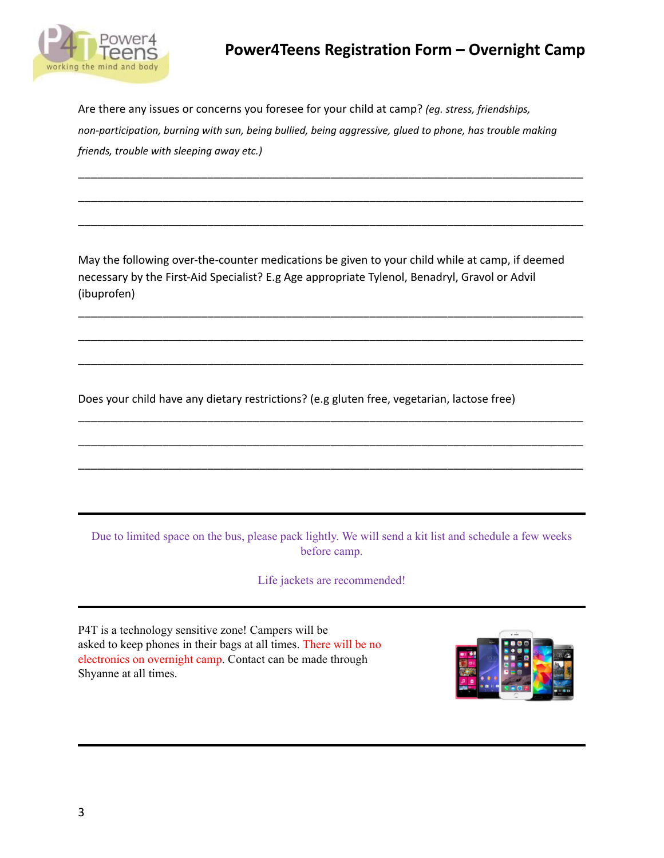

## **Power4Teens Registration Form – Overnight Camp**

Are there any issues or concerns you foresee for your child at camp? *(eg. stress, friendships, non-participation, burning with sun, being bullied, being aggressive, glued to phone, has trouble making friends, trouble with sleeping away etc.)*

\_\_\_\_\_\_\_\_\_\_\_\_\_\_\_\_\_\_\_\_\_\_\_\_\_\_\_\_\_\_\_\_\_\_\_\_\_\_\_\_\_\_\_\_\_\_\_\_\_\_\_\_\_\_\_\_\_\_\_\_\_\_\_\_\_\_\_\_\_\_\_\_\_\_\_\_\_\_

\_\_\_\_\_\_\_\_\_\_\_\_\_\_\_\_\_\_\_\_\_\_\_\_\_\_\_\_\_\_\_\_\_\_\_\_\_\_\_\_\_\_\_\_\_\_\_\_\_\_\_\_\_\_\_\_\_\_\_\_\_\_\_\_\_\_\_\_\_\_\_\_\_\_\_\_\_\_

\_\_\_\_\_\_\_\_\_\_\_\_\_\_\_\_\_\_\_\_\_\_\_\_\_\_\_\_\_\_\_\_\_\_\_\_\_\_\_\_\_\_\_\_\_\_\_\_\_\_\_\_\_\_\_\_\_\_\_\_\_\_\_\_\_\_\_\_\_\_\_\_\_\_\_\_\_\_

May the following over-the-counter medications be given to your child while at camp, if deemed necessary by the First-Aid Specialist? E.g Age appropriate Tylenol, Benadryl, Gravol or Advil (ibuprofen)

\_\_\_\_\_\_\_\_\_\_\_\_\_\_\_\_\_\_\_\_\_\_\_\_\_\_\_\_\_\_\_\_\_\_\_\_\_\_\_\_\_\_\_\_\_\_\_\_\_\_\_\_\_\_\_\_\_\_\_\_\_\_\_\_\_\_\_\_\_\_\_\_\_\_\_\_\_\_

\_\_\_\_\_\_\_\_\_\_\_\_\_\_\_\_\_\_\_\_\_\_\_\_\_\_\_\_\_\_\_\_\_\_\_\_\_\_\_\_\_\_\_\_\_\_\_\_\_\_\_\_\_\_\_\_\_\_\_\_\_\_\_\_\_\_\_\_\_\_\_\_\_\_\_\_\_\_

\_\_\_\_\_\_\_\_\_\_\_\_\_\_\_\_\_\_\_\_\_\_\_\_\_\_\_\_\_\_\_\_\_\_\_\_\_\_\_\_\_\_\_\_\_\_\_\_\_\_\_\_\_\_\_\_\_\_\_\_\_\_\_\_\_\_\_\_\_\_\_\_\_\_\_\_\_\_

\_\_\_\_\_\_\_\_\_\_\_\_\_\_\_\_\_\_\_\_\_\_\_\_\_\_\_\_\_\_\_\_\_\_\_\_\_\_\_\_\_\_\_\_\_\_\_\_\_\_\_\_\_\_\_\_\_\_\_\_\_\_\_\_\_\_\_\_\_\_\_\_\_\_\_\_\_\_

\_\_\_\_\_\_\_\_\_\_\_\_\_\_\_\_\_\_\_\_\_\_\_\_\_\_\_\_\_\_\_\_\_\_\_\_\_\_\_\_\_\_\_\_\_\_\_\_\_\_\_\_\_\_\_\_\_\_\_\_\_\_\_\_\_\_\_\_\_\_\_\_\_\_\_\_\_\_

\_\_\_\_\_\_\_\_\_\_\_\_\_\_\_\_\_\_\_\_\_\_\_\_\_\_\_\_\_\_\_\_\_\_\_\_\_\_\_\_\_\_\_\_\_\_\_\_\_\_\_\_\_\_\_\_\_\_\_\_\_\_\_\_\_\_\_\_\_\_\_\_\_\_\_\_\_\_

Does your child have any dietary restrictions? (e.g gluten free, vegetarian, lactose free)

Due to limited space on the bus, please pack lightly. We will send a kit list and schedule a few weeks before camp.

Life jackets are recommended!

P4T is a technology sensitive zone! Campers will be asked to keep phones in their bags at all times. There will be no electronics on overnight camp. Contact can be made through Shyanne at all times.

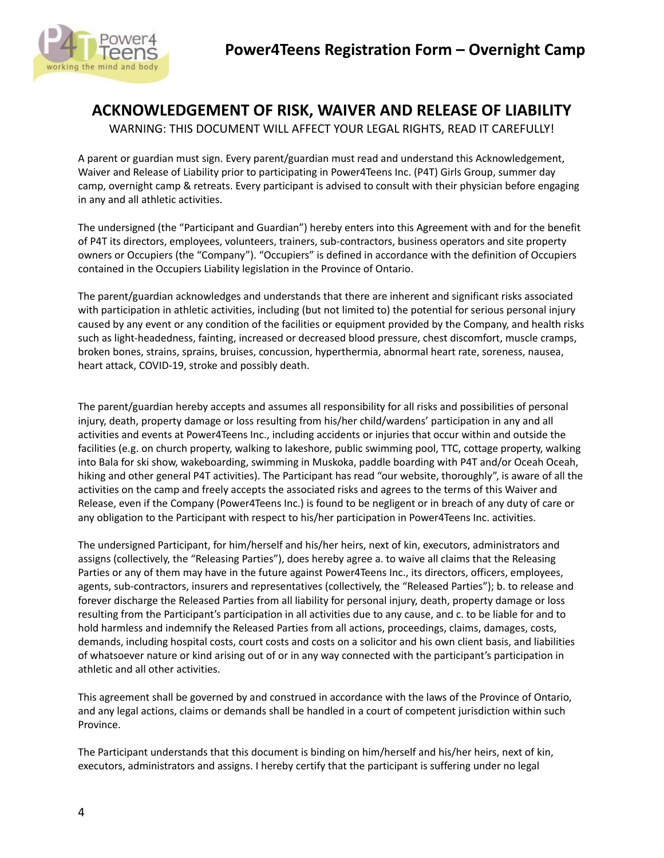

# **ACKNOWLEDGEMENT OF RISK, WAIVER AND RELEASE OF LIABILITY**

WARNING: THIS DOCUMENT WILL AFFECT YOUR LEGAL RIGHTS, READ IT CAREFULLY!

A parent or guardian must sign. Every parent/guardian must read and understand this Acknowledgement, Waiver and Release of Liability prior to participating in Power4Teens Inc. (P4T) Girls Group, summer day camp, overnight camp & retreats. Every participant is advised to consult with their physician before engaging in any and all athletic activities.

The undersigned (the "Participant and Guardian") hereby enters into this Agreement with and for the benefit of P4T its directors, employees, volunteers, trainers, sub-contractors, business operators and site property owners or Occupiers (the "Company"). "Occupiers" is defined in accordance with the definition of Occupiers contained in the Occupiers Liability legislation in the Province of Ontario.

The parent/guardian acknowledges and understands that there are inherent and significant risks associated with participation in athletic activities, including (but not limited to) the potential for serious personal injury caused by any event or any condition of the facilities or equipment provided by the Company, and health risks such as light-headedness, fainting, increased or decreased blood pressure, chest discomfort, muscle cramps, broken bones, strains, sprains, bruises, concussion, hyperthermia, abnormal heart rate, soreness, nausea, heart attack, COVID-19, stroke and possibly death.

The parent/guardian hereby accepts and assumes all responsibility for all risks and possibilities of personal injury, death, property damage or loss resulting from his/her child/wardens' participation in any and all activities and events at Power4Teens Inc., including accidents or injuries that occur within and outside the facilities (e.g. on church property, walking to lakeshore, public swimming pool, TTC, cottage property, walking into Bala for ski show, wakeboarding, swimming in Muskoka, paddle boarding with P4T and/or Oceah Oceah, hiking and other general P4T activities). The Participant has read "our website, thoroughly", is aware of all the activities on the camp and freely accepts the associated risks and agrees to the terms of this Waiver and Release, even if the Company (Power4Teens Inc.) is found to be negligent or in breach of any duty of care or any obligation to the Participant with respect to his/her participation in Power4Teens Inc. activities.

The undersigned Participant, for him/herself and his/her heirs, next of kin, executors, administrators and assigns (collectively, the "Releasing Parties"), does hereby agree a. to waive all claims that the Releasing Parties or any of them may have in the future against Power4Teens Inc., its directors, officers, employees, agents, sub-contractors, insurers and representatives (collectively, the "Released Parties"); b. to release and forever discharge the Released Parties from all liability for personal injury, death, property damage or loss resulting from the Participant's participation in all activities due to any cause, and c. to be liable for and to hold harmless and indemnify the Released Parties from all actions, proceedings, claims, damages, costs, demands, including hospital costs, court costs and costs on a solicitor and his own client basis, and liabilities of whatsoever nature or kind arising out of or in any way connected with the participant's participation in athletic and all other activities.

This agreement shall be governed by and construed in accordance with the laws of the Province of Ontario, and any legal actions, claims or demands shall be handled in a court of competent jurisdiction within such Province.

The Participant understands that this document is binding on him/herself and his/her heirs, next of kin, executors, administrators and assigns. I hereby certify that the participant is suffering under no legal